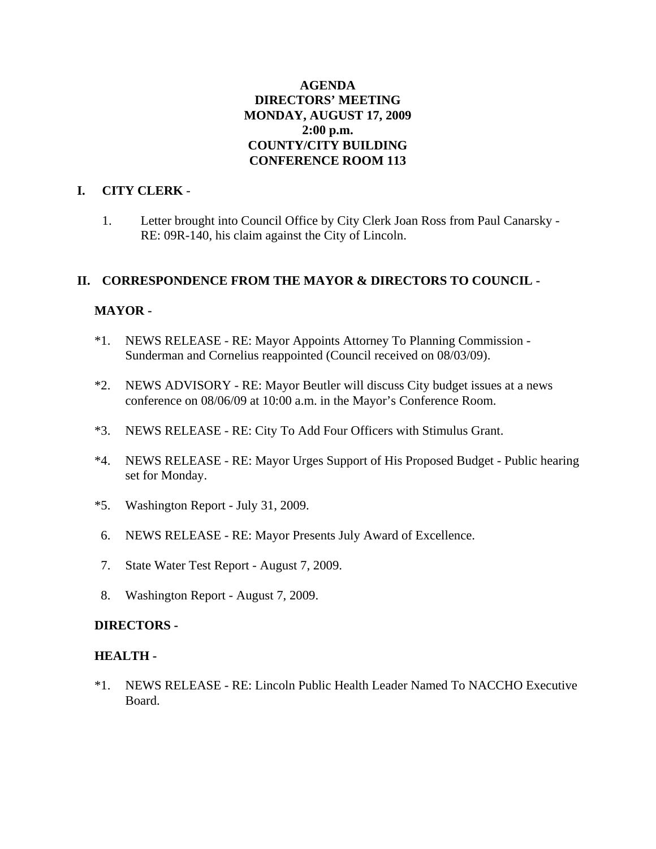## **AGENDA DIRECTORS' MEETING MONDAY, AUGUST 17, 2009 2:00 p.m. COUNTY/CITY BUILDING CONFERENCE ROOM 113**

### **I. CITY CLERK** -

1. Letter brought into Council Office by City Clerk Joan Ross from Paul Canarsky - RE: 09R-140, his claim against the City of Lincoln.

## **II. CORRESPONDENCE FROM THE MAYOR & DIRECTORS TO COUNCIL -**

## **MAYOR -**

- \*1. NEWS RELEASE RE: Mayor Appoints Attorney To Planning Commission Sunderman and Cornelius reappointed (Council received on 08/03/09).
- \*2. NEWS ADVISORY RE: Mayor Beutler will discuss City budget issues at a news conference on 08/06/09 at 10:00 a.m. in the Mayor's Conference Room.
- \*3. NEWS RELEASE RE: City To Add Four Officers with Stimulus Grant.
- \*4. NEWS RELEASE RE: Mayor Urges Support of His Proposed Budget Public hearing set for Monday.
- \*5. Washington Report July 31, 2009.
- 6. NEWS RELEASE RE: Mayor Presents July Award of Excellence.
- 7. State Water Test Report August 7, 2009.
- 8. Washington Report August 7, 2009.

### **DIRECTORS -**

### **HEALTH -**

\*1. NEWS RELEASE - RE: Lincoln Public Health Leader Named To NACCHO Executive Board.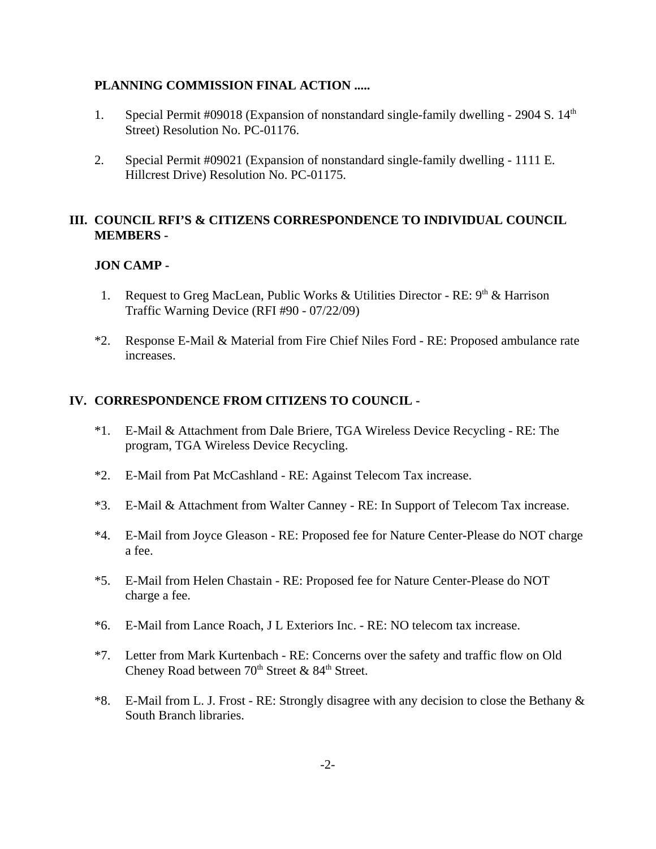## **PLANNING COMMISSION FINAL ACTION .....**

- 1. Special Permit #09018 (Expansion of nonstandard single-family dwelling 2904 S.  $14<sup>th</sup>$ Street) Resolution No. PC-01176.
- 2. Special Permit #09021 (Expansion of nonstandard single-family dwelling 1111 E. Hillcrest Drive) Resolution No. PC-01175.

## **III. COUNCIL RFI'S & CITIZENS CORRESPONDENCE TO INDIVIDUAL COUNCIL MEMBERS -**

## **JON CAMP -**

- 1. Request to Greg MacLean, Public Works & Utilities Director RE:  $9<sup>th</sup>$  & Harrison Traffic Warning Device (RFI #90 - 07/22/09)
- \*2. Response E-Mail & Material from Fire Chief Niles Ford RE: Proposed ambulance rate increases.

## **IV. CORRESPONDENCE FROM CITIZENS TO COUNCIL -**

- \*1. E-Mail & Attachment from Dale Briere, TGA Wireless Device Recycling RE: The program, TGA Wireless Device Recycling.
- \*2. E-Mail from Pat McCashland RE: Against Telecom Tax increase.
- \*3. E-Mail & Attachment from Walter Canney RE: In Support of Telecom Tax increase.
- \*4. E-Mail from Joyce Gleason RE: Proposed fee for Nature Center-Please do NOT charge a fee.
- \*5. E-Mail from Helen Chastain RE: Proposed fee for Nature Center-Please do NOT charge a fee.
- \*6. E-Mail from Lance Roach, J L Exteriors Inc. RE: NO telecom tax increase.
- \*7. Letter from Mark Kurtenbach RE: Concerns over the safety and traffic flow on Old Cheney Road between  $70<sup>th</sup>$  Street &  $84<sup>th</sup>$  Street.
- \*8. E-Mail from L. J. Frost RE: Strongly disagree with any decision to close the Bethany & South Branch libraries.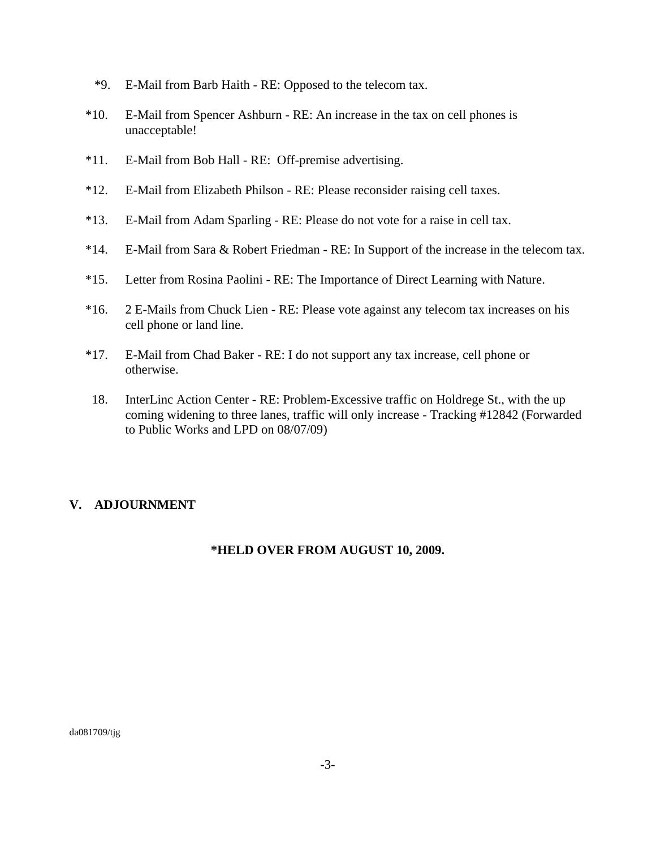- \*9. E-Mail from Barb Haith RE: Opposed to the telecom tax.
- \*10. E-Mail from Spencer Ashburn RE: An increase in the tax on cell phones is unacceptable!
- \*11. E-Mail from Bob Hall RE: Off-premise advertising.
- \*12. E-Mail from Elizabeth Philson RE: Please reconsider raising cell taxes.
- \*13. E-Mail from Adam Sparling RE: Please do not vote for a raise in cell tax.
- \*14. E-Mail from Sara & Robert Friedman RE: In Support of the increase in the telecom tax.
- \*15. Letter from Rosina Paolini RE: The Importance of Direct Learning with Nature.
- \*16. 2 E-Mails from Chuck Lien RE: Please vote against any telecom tax increases on his cell phone or land line.
- \*17. E-Mail from Chad Baker RE: I do not support any tax increase, cell phone or otherwise.
- 18. InterLinc Action Center RE: Problem-Excessive traffic on Holdrege St., with the up coming widening to three lanes, traffic will only increase - Tracking #12842 (Forwarded to Public Works and LPD on 08/07/09)

## **V. ADJOURNMENT**

## **\*HELD OVER FROM AUGUST 10, 2009.**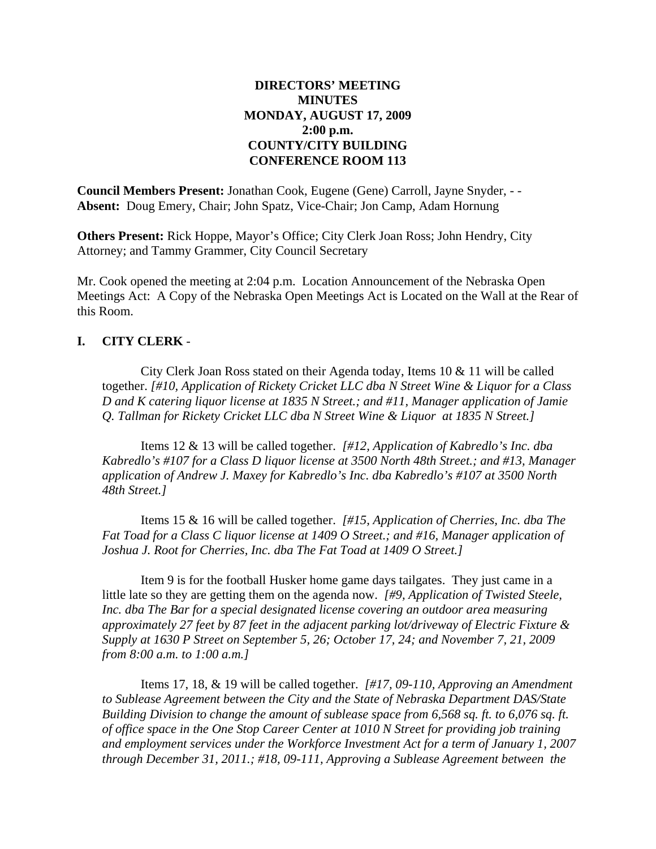## **DIRECTORS' MEETING MINUTES MONDAY, AUGUST 17, 2009 2:00 p.m. COUNTY/CITY BUILDING CONFERENCE ROOM 113**

**Council Members Present:** Jonathan Cook, Eugene (Gene) Carroll, Jayne Snyder, - - **Absent:** Doug Emery, Chair; John Spatz, Vice-Chair; Jon Camp, Adam Hornung

**Others Present:** Rick Hoppe, Mayor's Office; City Clerk Joan Ross; John Hendry, City Attorney; and Tammy Grammer, City Council Secretary

Mr. Cook opened the meeting at 2:04 p.m. Location Announcement of the Nebraska Open Meetings Act: A Copy of the Nebraska Open Meetings Act is Located on the Wall at the Rear of this Room.

### **I. CITY CLERK** -

City Clerk Joan Ross stated on their Agenda today, Items 10 & 11 will be called together. *[#10, Application of Rickety Cricket LLC dba N Street Wine & Liquor for a Class D and K catering liquor license at 1835 N Street.; and #11, Manager application of Jamie Q. Tallman for Rickety Cricket LLC dba N Street Wine & Liquor at 1835 N Street.]*

Items 12 & 13 will be called together. *[#12, Application of Kabredlo's Inc. dba Kabredlo's #107 for a Class D liquor license at 3500 North 48th Street.; and #13, Manager application of Andrew J. Maxey for Kabredlo's Inc. dba Kabredlo's #107 at 3500 North 48th Street.]*

Items 15 & 16 will be called together. *[#15, Application of Cherries, Inc. dba The Fat Toad for a Class C liquor license at 1409 O Street.; and #16, Manager application of Joshua J. Root for Cherries, Inc. dba The Fat Toad at 1409 O Street.]*

Item 9 is for the football Husker home game days tailgates. They just came in a little late so they are getting them on the agenda now. *[#9, Application of Twisted Steele, Inc. dba The Bar for a special designated license covering an outdoor area measuring approximately 27 feet by 87 feet in the adjacent parking lot/driveway of Electric Fixture & Supply at 1630 P Street on September 5, 26; October 17, 24; and November 7, 21, 2009 from 8:00 a.m. to 1:00 a.m.]* 

Items 17, 18, & 19 will be called together. *[#17, 09-110, Approving an Amendment to Sublease Agreement between the City and the State of Nebraska Department DAS/State Building Division to change the amount of sublease space from 6,568 sq. ft. to 6,076 sq. ft. of office space in the One Stop Career Center at 1010 N Street for providing job training and employment services under the Workforce Investment Act for a term of January 1, 2007 through December 31, 2011.; #18, 09-111, Approving a Sublease Agreement between the*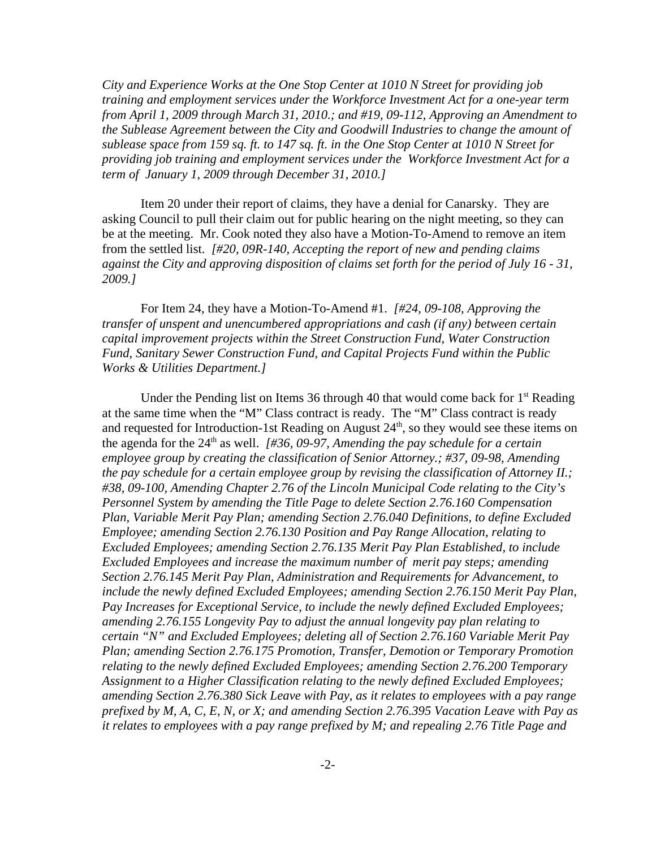*City and Experience Works at the One Stop Center at 1010 N Street for providing job training and employment services under the Workforce Investment Act for a one-year term from April 1, 2009 through March 31, 2010.; and #19, 09-112, Approving an Amendment to the Sublease Agreement between the City and Goodwill Industries to change the amount of sublease space from 159 sq. ft. to 147 sq. ft. in the One Stop Center at 1010 N Street for providing job training and employment services under the Workforce Investment Act for a term of January 1, 2009 through December 31, 2010.]*

Item 20 under their report of claims, they have a denial for Canarsky. They are asking Council to pull their claim out for public hearing on the night meeting, so they can be at the meeting. Mr. Cook noted they also have a Motion-To-Amend to remove an item from the settled list. *[#20, 09R-140, Accepting the report of new and pending claims against the City and approving disposition of claims set forth for the period of July 16 - 31, 2009.]*

For Item 24, they have a Motion-To-Amend #1. *[#24, 09-108, Approving the transfer of unspent and unencumbered appropriations and cash (if any) between certain capital improvement projects within the Street Construction Fund, Water Construction Fund, Sanitary Sewer Construction Fund, and Capital Projects Fund within the Public Works & Utilities Department.]*

Under the Pending list on Items 36 through 40 that would come back for  $1<sup>st</sup>$  Reading at the same time when the "M" Class contract is ready. The "M" Class contract is ready and requested for Introduction-1st Reading on August  $24<sup>th</sup>$ , so they would see these items on the agenda for the 24<sup>th</sup> as well. *[#36, 09-97, Amending the pay schedule for a certain employee group by creating the classification of Senior Attorney.; #37, 09-98, Amending the pay schedule for a certain employee group by revising the classification of Attorney II.; #38, 09-100, Amending Chapter 2.76 of the Lincoln Municipal Code relating to the City's Personnel System by amending the Title Page to delete Section 2.76.160 Compensation Plan, Variable Merit Pay Plan; amending Section 2.76.040 Definitions, to define Excluded Employee; amending Section 2.76.130 Position and Pay Range Allocation, relating to Excluded Employees; amending Section 2.76.135 Merit Pay Plan Established, to include Excluded Employees and increase the maximum number of merit pay steps; amending Section 2.76.145 Merit Pay Plan, Administration and Requirements for Advancement, to include the newly defined Excluded Employees; amending Section 2.76.150 Merit Pay Plan, Pay Increases for Exceptional Service, to include the newly defined Excluded Employees; amending 2.76.155 Longevity Pay to adjust the annual longevity pay plan relating to certain "N" and Excluded Employees; deleting all of Section 2.76.160 Variable Merit Pay Plan; amending Section 2.76.175 Promotion, Transfer, Demotion or Temporary Promotion relating to the newly defined Excluded Employees; amending Section 2.76.200 Temporary Assignment to a Higher Classification relating to the newly defined Excluded Employees; amending Section 2.76.380 Sick Leave with Pay, as it relates to employees with a pay range prefixed by M, A, C, E, N, or X; and amending Section 2.76.395 Vacation Leave with Pay as it relates to employees with a pay range prefixed by M; and repealing 2.76 Title Page and*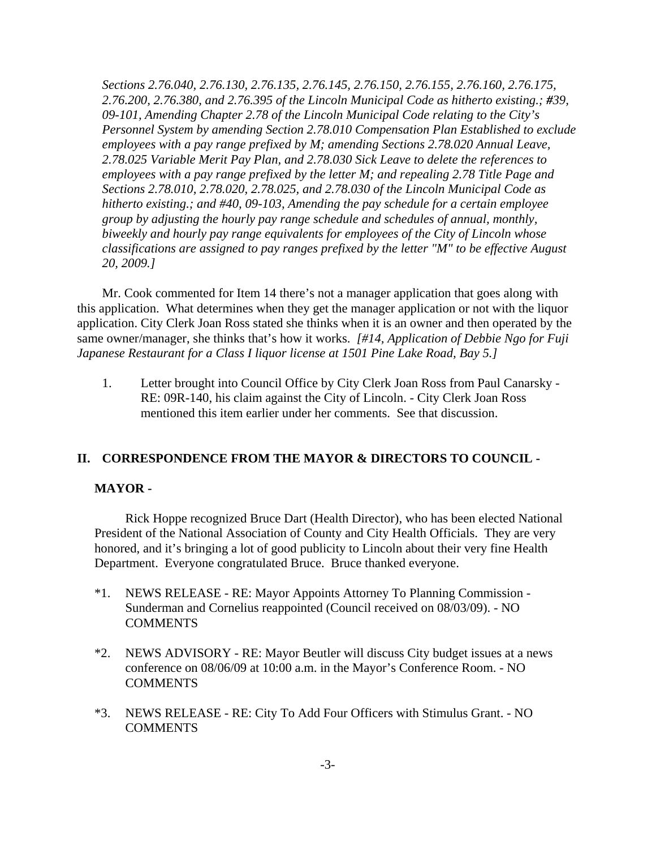*Sections 2.76.040, 2.76.130, 2.76.135, 2.76.145, 2.76.150, 2.76.155, 2.76.160, 2.76.175, 2.76.200, 2.76.380, and 2.76.395 of the Lincoln Municipal Code as hitherto existing.; #39, 09-101, Amending Chapter 2.78 of the Lincoln Municipal Code relating to the City's Personnel System by amending Section 2.78.010 Compensation Plan Established to exclude employees with a pay range prefixed by M; amending Sections 2.78.020 Annual Leave, 2.78.025 Variable Merit Pay Plan, and 2.78.030 Sick Leave to delete the references to employees with a pay range prefixed by the letter M; and repealing 2.78 Title Page and Sections 2.78.010, 2.78.020, 2.78.025, and 2.78.030 of the Lincoln Municipal Code as hitherto existing.; and #40, 09-103, Amending the pay schedule for a certain employee group by adjusting the hourly pay range schedule and schedules of annual, monthly, biweekly and hourly pay range equivalents for employees of the City of Lincoln whose classifications are assigned to pay ranges prefixed by the letter "M" to be effective August 20, 2009.]*

Mr. Cook commented for Item 14 there's not a manager application that goes along with this application. What determines when they get the manager application or not with the liquor application. City Clerk Joan Ross stated she thinks when it is an owner and then operated by the same owner/manager, she thinks that's how it works. *[#14, Application of Debbie Ngo for Fuji Japanese Restaurant for a Class I liquor license at 1501 Pine Lake Road, Bay 5.]*

1. Letter brought into Council Office by City Clerk Joan Ross from Paul Canarsky - RE: 09R-140, his claim against the City of Lincoln. - City Clerk Joan Ross mentioned this item earlier under her comments. See that discussion.

### **II. CORRESPONDENCE FROM THE MAYOR & DIRECTORS TO COUNCIL -**

### **MAYOR -**

Rick Hoppe recognized Bruce Dart (Health Director), who has been elected National President of the National Association of County and City Health Officials. They are very honored, and it's bringing a lot of good publicity to Lincoln about their very fine Health Department. Everyone congratulated Bruce. Bruce thanked everyone.

- \*1. NEWS RELEASE RE: Mayor Appoints Attorney To Planning Commission Sunderman and Cornelius reappointed (Council received on 08/03/09). - NO **COMMENTS**
- \*2. NEWS ADVISORY RE: Mayor Beutler will discuss City budget issues at a news conference on 08/06/09 at 10:00 a.m. in the Mayor's Conference Room. - NO **COMMENTS**
- \*3. NEWS RELEASE RE: City To Add Four Officers with Stimulus Grant. NO COMMENTS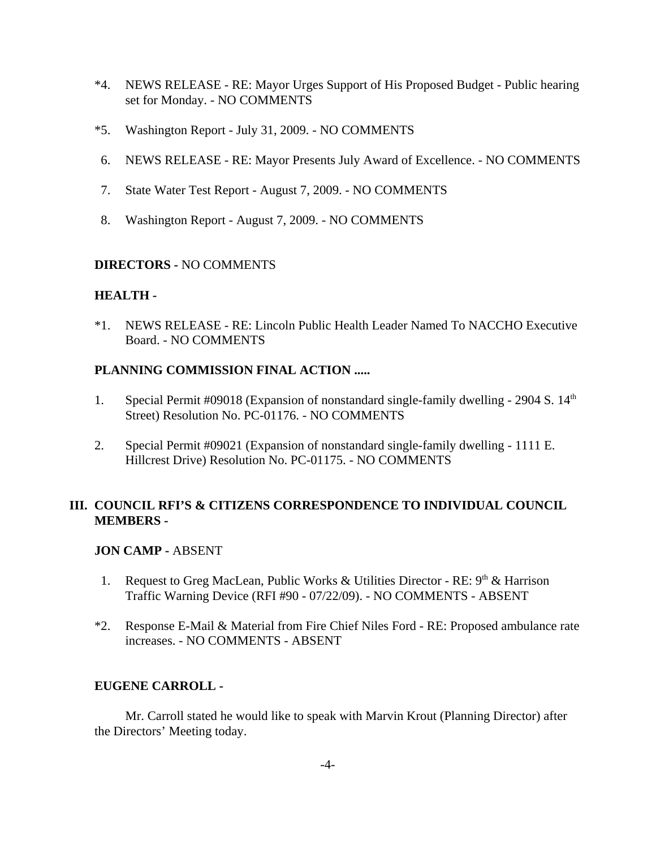- \*4. NEWS RELEASE RE: Mayor Urges Support of His Proposed Budget Public hearing set for Monday. - NO COMMENTS
- \*5. Washington Report July 31, 2009. NO COMMENTS
- 6. NEWS RELEASE RE: Mayor Presents July Award of Excellence. NO COMMENTS
- 7. State Water Test Report August 7, 2009. NO COMMENTS
- 8. Washington Report August 7, 2009. NO COMMENTS

## **DIRECTORS -** NO COMMENTS

## **HEALTH -**

\*1. NEWS RELEASE - RE: Lincoln Public Health Leader Named To NACCHO Executive Board. - NO COMMENTS

## **PLANNING COMMISSION FINAL ACTION .....**

- 1. Special Permit #09018 (Expansion of nonstandard single-family dwelling 2904 S.  $14<sup>th</sup>$ Street) Resolution No. PC-01176. - NO COMMENTS
- 2. Special Permit #09021 (Expansion of nonstandard single-family dwelling 1111 E. Hillcrest Drive) Resolution No. PC-01175. - NO COMMENTS

## **III. COUNCIL RFI'S & CITIZENS CORRESPONDENCE TO INDIVIDUAL COUNCIL MEMBERS -**

### **JON CAMP -** ABSENT

- 1. Request to Greg MacLean, Public Works & Utilities Director RE:  $9<sup>th</sup>$  & Harrison Traffic Warning Device (RFI #90 - 07/22/09). - NO COMMENTS - ABSENT
- \*2. Response E-Mail & Material from Fire Chief Niles Ford RE: Proposed ambulance rate increases. - NO COMMENTS - ABSENT

### **EUGENE CARROLL -**

Mr. Carroll stated he would like to speak with Marvin Krout (Planning Director) after the Directors' Meeting today.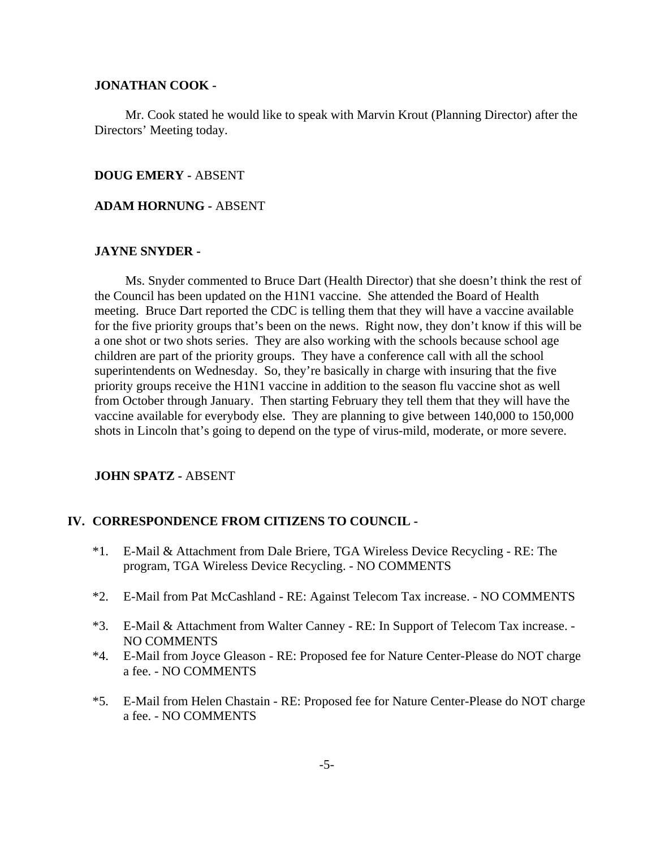#### **JONATHAN COOK -**

Mr. Cook stated he would like to speak with Marvin Krout (Planning Director) after the Directors' Meeting today.

#### **DOUG EMERY -** ABSENT

#### **ADAM HORNUNG -** ABSENT

#### **JAYNE SNYDER -**

Ms. Snyder commented to Bruce Dart (Health Director) that she doesn't think the rest of the Council has been updated on the H1N1 vaccine. She attended the Board of Health meeting. Bruce Dart reported the CDC is telling them that they will have a vaccine available for the five priority groups that's been on the news. Right now, they don't know if this will be a one shot or two shots series. They are also working with the schools because school age children are part of the priority groups. They have a conference call with all the school superintendents on Wednesday. So, they're basically in charge with insuring that the five priority groups receive the H1N1 vaccine in addition to the season flu vaccine shot as well from October through January. Then starting February they tell them that they will have the vaccine available for everybody else. They are planning to give between 140,000 to 150,000 shots in Lincoln that's going to depend on the type of virus-mild, moderate, or more severe.

#### **JOHN SPATZ -** ABSENT

#### **IV. CORRESPONDENCE FROM CITIZENS TO COUNCIL -**

- \*1. E-Mail & Attachment from Dale Briere, TGA Wireless Device Recycling RE: The program, TGA Wireless Device Recycling. - NO COMMENTS
- \*2. E-Mail from Pat McCashland RE: Against Telecom Tax increase. NO COMMENTS
- \*3. E-Mail & Attachment from Walter Canney RE: In Support of Telecom Tax increase. NO COMMENTS
- \*4. E-Mail from Joyce Gleason RE: Proposed fee for Nature Center-Please do NOT charge a fee. - NO COMMENTS
- \*5. E-Mail from Helen Chastain RE: Proposed fee for Nature Center-Please do NOT charge a fee. - NO COMMENTS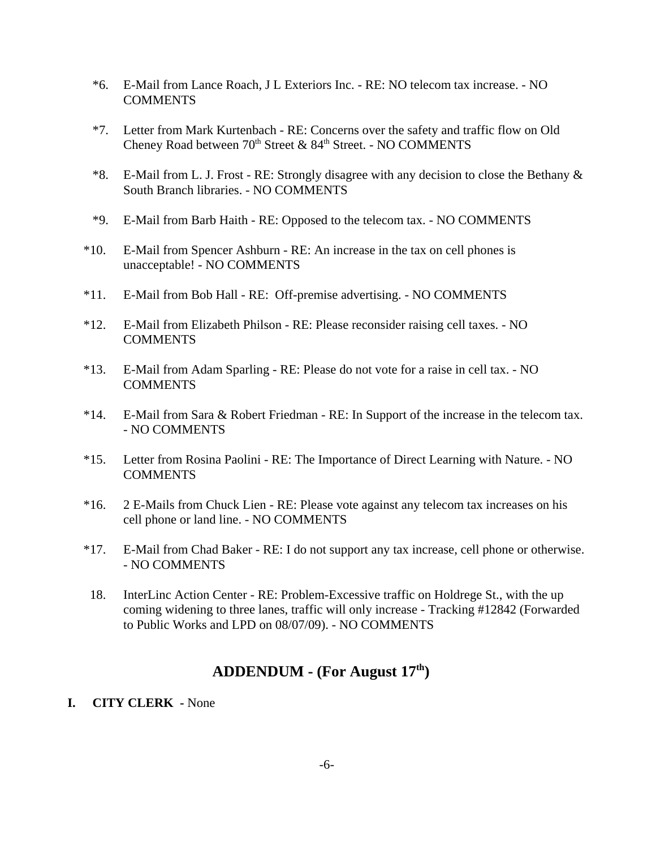- \*6. E-Mail from Lance Roach, J L Exteriors Inc. RE: NO telecom tax increase. NO **COMMENTS**
- \*7. Letter from Mark Kurtenbach RE: Concerns over the safety and traffic flow on Old Cheney Road between  $70<sup>th</sup>$  Street & 84<sup>th</sup> Street. - NO COMMENTS
- \*8. E-Mail from L. J. Frost RE: Strongly disagree with any decision to close the Bethany  $\&$ South Branch libraries. - NO COMMENTS
- \*9. E-Mail from Barb Haith RE: Opposed to the telecom tax. NO COMMENTS
- \*10. E-Mail from Spencer Ashburn RE: An increase in the tax on cell phones is unacceptable! - NO COMMENTS
- \*11. E-Mail from Bob Hall RE: Off-premise advertising. NO COMMENTS
- \*12. E-Mail from Elizabeth Philson RE: Please reconsider raising cell taxes. NO COMMENTS
- \*13. E-Mail from Adam Sparling RE: Please do not vote for a raise in cell tax. NO COMMENTS
- \*14. E-Mail from Sara & Robert Friedman RE: In Support of the increase in the telecom tax. - NO COMMENTS
- \*15. Letter from Rosina Paolini RE: The Importance of Direct Learning with Nature. NO COMMENTS
- \*16. 2 E-Mails from Chuck Lien RE: Please vote against any telecom tax increases on his cell phone or land line. - NO COMMENTS
- \*17. E-Mail from Chad Baker RE: I do not support any tax increase, cell phone or otherwise. - NO COMMENTS
- 18. InterLinc Action Center RE: Problem-Excessive traffic on Holdrege St., with the up coming widening to three lanes, traffic will only increase - Tracking #12842 (Forwarded to Public Works and LPD on 08/07/09). - NO COMMENTS

# **ADDENDUM - (For August 17th)**

### **I. CITY CLERK -** None